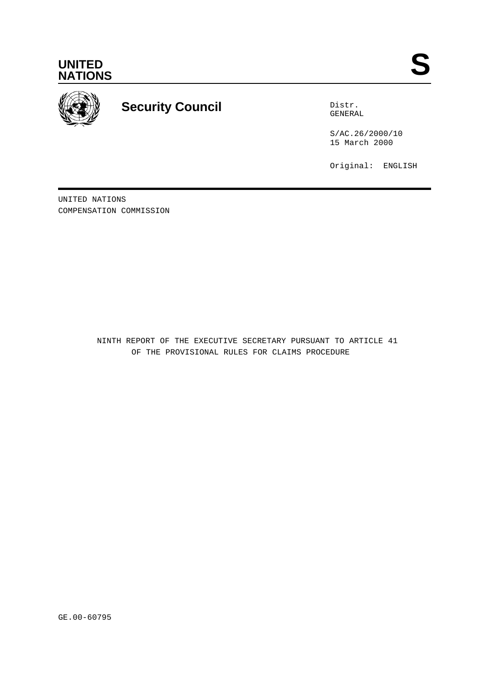



# **Security Council** Distress Distribution of Distribution of Distribution of Distribution of Distribution of Distribution of Distribution of Distribution of Distribution of Distribution of Distribution of Distribution of Di

GENERAL

S/AC.26/2000/10 15 March 2000

Original: ENGLISH

UNITED NATIONS COMPENSATION COMMISSION

> NINTH REPORT OF THE EXECUTIVE SECRETARY PURSUANT TO ARTICLE 41 OF THE PROVISIONAL RULES FOR CLAIMS PROCEDURE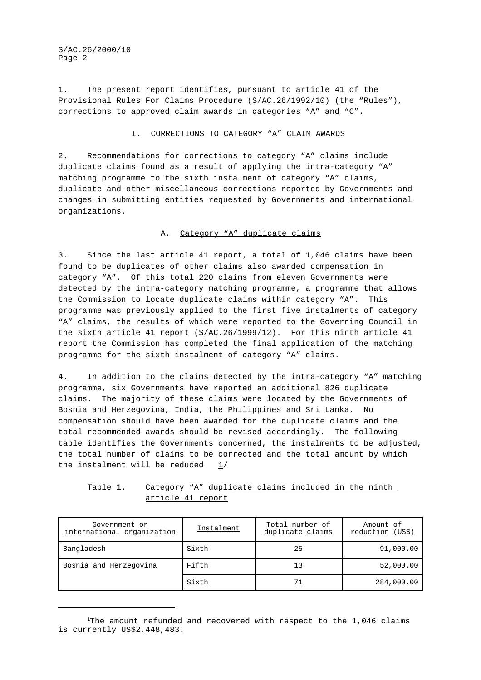1. The present report identifies, pursuant to article 41 of the Provisional Rules For Claims Procedure (S/AC.26/1992/10) (the "Rules"), corrections to approved claim awards in categories "A" and "C".

#### I. CORRECTIONS TO CATEGORY "A" CLAIM AWARDS

2. Recommendations for corrections to category "A" claims include duplicate claims found as a result of applying the intra-category "A" matching programme to the sixth instalment of category "A" claims, duplicate and other miscellaneous corrections reported by Governments and changes in submitting entities requested by Governments and international organizations.

## A. Category "A" duplicate claims

3. Since the last article 41 report, a total of 1,046 claims have been found to be duplicates of other claims also awarded compensation in category "A". Of this total 220 claims from eleven Governments were detected by the intra-category matching programme, a programme that allows the Commission to locate duplicate claims within category "A". This programme was previously applied to the first five instalments of category "A" claims, the results of which were reported to the Governing Council in the sixth article 41 report (S/AC.26/1999/12). For this ninth article 41 report the Commission has completed the final application of the matching programme for the sixth instalment of category "A" claims.

4. In addition to the claims detected by the intra-category "A" matching programme, six Governments have reported an additional 826 duplicate claims. The majority of these claims were located by the Governments of Bosnia and Herzegovina, India, the Philippines and Sri Lanka. No compensation should have been awarded for the duplicate claims and the total recommended awards should be revised accordingly. The following table identifies the Governments concerned, the instalments to be adjusted, the total number of claims to be corrected and the total amount by which the instalment will be reduced. 1/

| Table 1. | Category "A" duplicate claims included in the ninth |  |  |  |
|----------|-----------------------------------------------------|--|--|--|
|          | article 41 report                                   |  |  |  |

| Government or<br>international organization | Instalment | Total number of<br>duplicate claims | Amount of<br>reduction (US\$) |
|---------------------------------------------|------------|-------------------------------------|-------------------------------|
| Bangladesh                                  | Sixth      | 25                                  | 91,000.00                     |
| Bosnia and Herzegovina                      | Fifth      | 13                                  | 52,000.00                     |
|                                             | Sixth      |                                     | 284,000.00                    |

 $1$ The amount refunded and recovered with respect to the 1,046 claims is currently US\$2,448,483.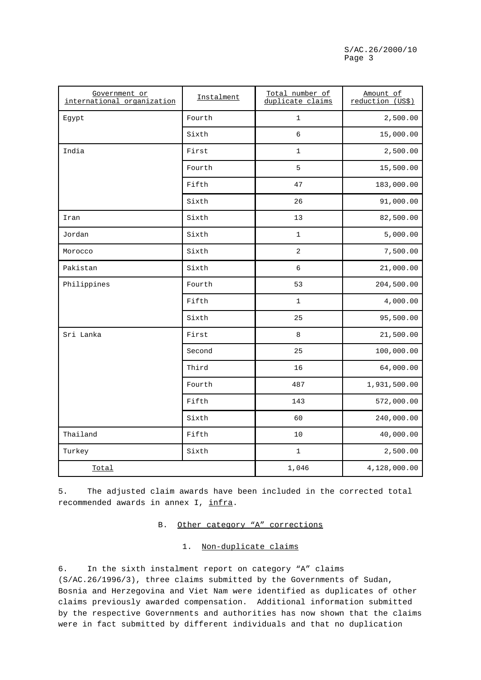| Government or<br>international organization | Instalment | Total number of<br>duplicate claims | Amount of<br>reduction (US\$) |
|---------------------------------------------|------------|-------------------------------------|-------------------------------|
| Egypt                                       | Fourth     | $\mathbf 1$                         | 2,500.00                      |
|                                             | Sixth      | 6                                   | 15,000.00                     |
| India                                       | First      | 1                                   | 2,500.00                      |
|                                             | Fourth     | 5                                   | 15,500.00                     |
|                                             | Fifth      | 47                                  | 183,000.00                    |
|                                             | Sixth      | 26                                  | 91,000.00                     |
| Iran                                        | Sixth      | 13                                  | 82,500.00                     |
| Jordan                                      | Sixth      | $1\,$                               | 5,000.00                      |
| Morocco                                     | Sixth      | 2                                   | 7,500.00                      |
| Pakistan                                    | Sixth      | 6                                   | 21,000.00                     |
| Philippines                                 | Fourth     | 53                                  | 204,500.00                    |
|                                             | Fifth      | $\mathbf 1$                         | 4,000.00                      |
|                                             | Sixth      | 25                                  | 95,500.00                     |
| Sri Lanka                                   | First      | 8                                   | 21,500.00                     |
|                                             | Second     | 25                                  | 100,000.00                    |
|                                             | Third      | 16                                  | 64,000.00                     |
|                                             | Fourth     | 487                                 | 1,931,500.00                  |
|                                             | Fifth      | 143                                 | 572,000.00                    |
|                                             | Sixth      | 60                                  | 240,000.00                    |
| Thailand                                    | Fifth      | 10                                  | 40,000.00                     |
| Turkey                                      | Sixth      | $\mathbf 1$                         | 2,500.00                      |
| Total                                       |            | 1,046                               | 4,128,000.00                  |

5. The adjusted claim awards have been included in the corrected total recommended awards in annex I, infra.

## B. Other category "A" corrections

## 1. Non-duplicate claims

6. In the sixth instalment report on category "A" claims (S/AC.26/1996/3), three claims submitted by the Governments of Sudan, Bosnia and Herzegovina and Viet Nam were identified as duplicates of other claims previously awarded compensation. Additional information submitted by the respective Governments and authorities has now shown that the claims were in fact submitted by different individuals and that no duplication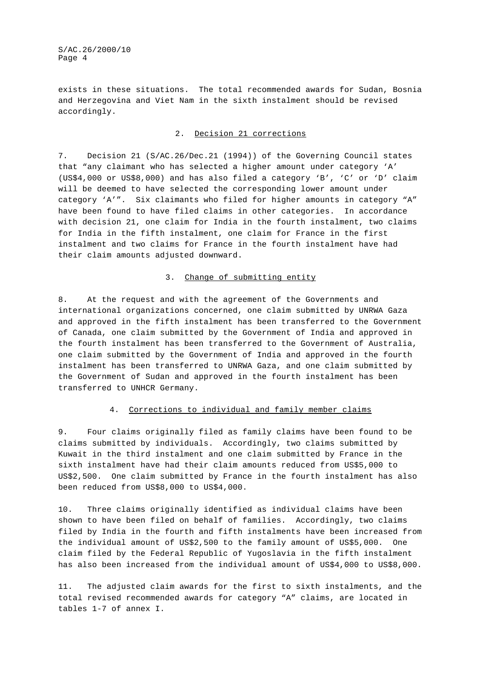exists in these situations. The total recommended awards for Sudan, Bosnia and Herzegovina and Viet Nam in the sixth instalment should be revised accordingly.

#### 2. Decision 21 corrections

7. Decision 21 (S/AC.26/Dec.21 (1994)) of the Governing Council states that "any claimant who has selected a higher amount under category 'A' (US\$4,000 or US\$8,000) and has also filed a category 'B', 'C' or 'D' claim will be deemed to have selected the corresponding lower amount under category 'A'". Six claimants who filed for higher amounts in category "A" have been found to have filed claims in other categories. In accordance with decision 21, one claim for India in the fourth instalment, two claims for India in the fifth instalment, one claim for France in the first instalment and two claims for France in the fourth instalment have had their claim amounts adjusted downward.

#### 3. Change of submitting entity

8. At the request and with the agreement of the Governments and international organizations concerned, one claim submitted by UNRWA Gaza and approved in the fifth instalment has been transferred to the Government of Canada, one claim submitted by the Government of India and approved in the fourth instalment has been transferred to the Government of Australia, one claim submitted by the Government of India and approved in the fourth instalment has been transferred to UNRWA Gaza, and one claim submitted by the Government of Sudan and approved in the fourth instalment has been transferred to UNHCR Germany.

#### 4. Corrections to individual and family member claims

9. Four claims originally filed as family claims have been found to be claims submitted by individuals. Accordingly, two claims submitted by Kuwait in the third instalment and one claim submitted by France in the sixth instalment have had their claim amounts reduced from US\$5,000 to US\$2,500. One claim submitted by France in the fourth instalment has also been reduced from US\$8,000 to US\$4,000.

10. Three claims originally identified as individual claims have been shown to have been filed on behalf of families. Accordingly, two claims filed by India in the fourth and fifth instalments have been increased from the individual amount of US\$2,500 to the family amount of US\$5,000. One claim filed by the Federal Republic of Yugoslavia in the fifth instalment has also been increased from the individual amount of US\$4,000 to US\$8,000.

11. The adjusted claim awards for the first to sixth instalments, and the total revised recommended awards for category "A" claims, are located in tables 1-7 of annex I.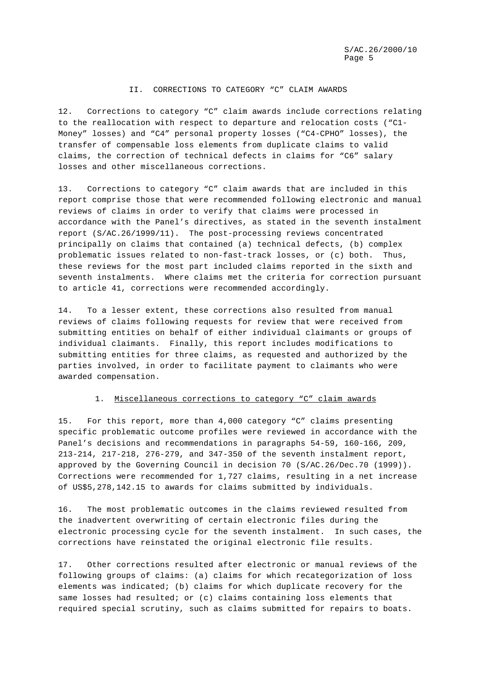#### II. CORRECTIONS TO CATEGORY "C" CLAIM AWARDS

12. Corrections to category "C" claim awards include corrections relating to the reallocation with respect to departure and relocation costs ("C1- Money" losses) and "C4" personal property losses ("C4-CPHO" losses), the transfer of compensable loss elements from duplicate claims to valid claims, the correction of technical defects in claims for "C6" salary losses and other miscellaneous corrections.

13. Corrections to category "C" claim awards that are included in this report comprise those that were recommended following electronic and manual reviews of claims in order to verify that claims were processed in accordance with the Panel's directives, as stated in the seventh instalment report (S/AC.26/1999/11). The post-processing reviews concentrated principally on claims that contained (a) technical defects, (b) complex problematic issues related to non-fast-track losses, or (c) both. Thus, these reviews for the most part included claims reported in the sixth and seventh instalments. Where claims met the criteria for correction pursuant to article 41, corrections were recommended accordingly.

14. To a lesser extent, these corrections also resulted from manual reviews of claims following requests for review that were received from submitting entities on behalf of either individual claimants or groups of individual claimants. Finally, this report includes modifications to submitting entities for three claims, as requested and authorized by the parties involved, in order to facilitate payment to claimants who were awarded compensation.

#### 1. Miscellaneous corrections to category "C" claim awards

15. For this report, more than 4,000 category "C" claims presenting specific problematic outcome profiles were reviewed in accordance with the Panel's decisions and recommendations in paragraphs 54-59, 160-166, 209, 213-214, 217-218, 276-279, and 347-350 of the seventh instalment report, approved by the Governing Council in decision 70 (S/AC.26/Dec.70 (1999)). Corrections were recommended for 1,727 claims, resulting in a net increase of US\$5,278,142.15 to awards for claims submitted by individuals.

16. The most problematic outcomes in the claims reviewed resulted from the inadvertent overwriting of certain electronic files during the electronic processing cycle for the seventh instalment. In such cases, the corrections have reinstated the original electronic file results.

17. Other corrections resulted after electronic or manual reviews of the following groups of claims: (a) claims for which recategorization of loss elements was indicated; (b) claims for which duplicate recovery for the same losses had resulted; or (c) claims containing loss elements that required special scrutiny, such as claims submitted for repairs to boats.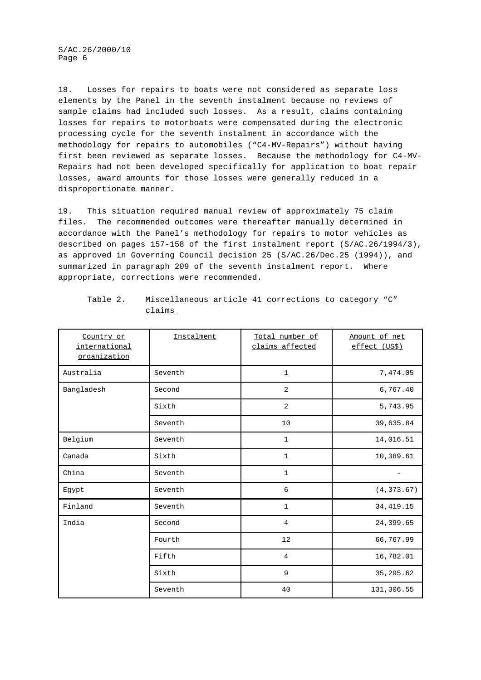18. Losses for repairs to boats were not considered as separate loss elements by the Panel in the seventh instalment because no reviews of sample claims had included such losses. As a result, claims containing losses for repairs to motorboats were compensated during the electronic processing cycle for the seventh instalment in accordance with the methodology for repairs to automobiles ("C4-MV-Repairs") without having first been reviewed as separate losses. Because the methodology for C4-MV-Repairs had not been developed specifically for application to boat repair losses, award amounts for those losses were generally reduced in a disproportionate manner.

19. This situation required manual review of approximately 75 claim files. The recommended outcomes were thereafter manually determined in accordance with the Panel's methodology for repairs to motor vehicles as described on pages 157-158 of the first instalment report (S/AC.26/1994/3), as approved in Governing Council decision 25 (S/AC.26/Dec.25 (1994)), and summarized in paragraph 209 of the seventh instalment report. Where appropriate, corrections were recommended.

| Country or<br>international<br>organization | Instalment | Total number of<br>claims affected | Amount of net<br>effect (US\$) |
|---------------------------------------------|------------|------------------------------------|--------------------------------|
| Australia                                   | Seventh    | $\mathbf{1}$                       | 7,474.05                       |
| Bangladesh                                  | Second     | 2                                  | 6,767.40                       |
|                                             | Sixth      | 2                                  | 5,743.95                       |
|                                             | Seventh    | 10                                 | 39,635.84                      |
| Belgium                                     | Seventh    | $\mathbf{1}$                       | 14,016.51                      |
| Canada                                      | Sixth      | $\mathbf{1}$                       | 10,389.61                      |
| China                                       | Seventh    | $\mathbf{1}$                       |                                |
| Egypt                                       | Seventh    | 6                                  | (4, 373.67)                    |
| Finland                                     | Seventh    | $\mathbf{1}$                       | 34, 419. 15                    |
| India                                       | Second     | $\overline{4}$                     | 24,399.65                      |
|                                             | Fourth     | 12                                 | 66,767.99                      |
|                                             | Fifth      | $\overline{4}$                     | 16,782.01                      |
|                                             | Sixth      | 9                                  | 35, 295.62                     |
|                                             | Seventh    | 40                                 | 131,306.55                     |

## Table 2. Miscellaneous article 41 corrections to category "C" claims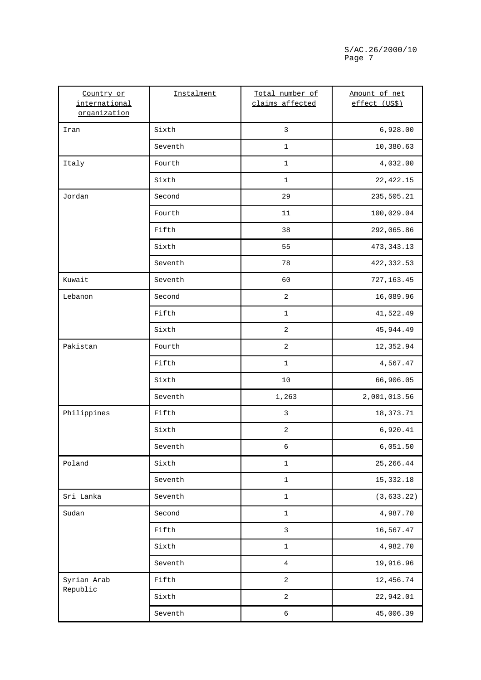| Country or<br>international<br>organization | Instalment | Total number of<br>claims affected | Amount of net<br>effect (US\$) |
|---------------------------------------------|------------|------------------------------------|--------------------------------|
| Iran                                        | Sixth      | $\mathsf 3$                        | 6,928.00                       |
|                                             | Seventh    | $\mathbf{1}$                       | 10,380.63                      |
| Italy                                       | Fourth     | $\mathbf 1$                        | 4,032.00                       |
|                                             | Sixth      | $1\,$                              | 22, 422.15                     |
| Jordan                                      | Second     | 29                                 | 235,505.21                     |
|                                             | Fourth     | 11                                 | 100,029.04                     |
|                                             | Fifth      | 38                                 | 292,065.86                     |
|                                             | Sixth      | 55                                 | 473, 343.13                    |
|                                             | Seventh    | 78                                 | 422, 332.53                    |
| Kuwait                                      | Seventh    | 60                                 | 727, 163.45                    |
| Lebanon                                     | Second     | $\sqrt{2}$                         | 16,089.96                      |
|                                             | Fifth      | $\mathbf 1$                        | 41,522.49                      |
|                                             | Sixth      | 2                                  | 45,944.49                      |
| Pakistan                                    | Fourth     | 2                                  | 12,352.94                      |
|                                             | Fifth      | $\mathbf{1}$                       | 4,567.47                       |
|                                             | Sixth      | $10$                               | 66,906.05                      |
|                                             | Seventh    | 1,263                              | 2,001,013.56                   |
| Philippines                                 | Fifth      | $\mathbf{3}$                       | 18, 373. 71                    |
|                                             | Sixth      | $\sqrt{2}$                         | 6,920.41                       |
|                                             | Seventh    | 6                                  | 6,051.50                       |
| Poland                                      | Sixth      | $\mathbf{1}$                       | 25, 266.44                     |
|                                             | Seventh    | $\mathbf{1}$                       | 15,332.18                      |
| Sri Lanka                                   | Seventh    | $\mathbf{1}$                       | (3, 633.22)                    |
| Sudan                                       | Second     | $\mathbf{1}$                       | 4,987.70                       |
|                                             | Fifth      | 3                                  | 16,567.47                      |
|                                             | Sixth      | $\mathbf{1}$                       | 4,982.70                       |
|                                             | Seventh    | $\overline{4}$                     | 19,916.96                      |
| Syrian Arab                                 | Fifth      | $\sqrt{2}$                         | 12,456.74                      |
| Republic                                    | Sixth      | 2                                  | 22,942.01                      |
|                                             | Seventh    | $\epsilon$                         | 45,006.39                      |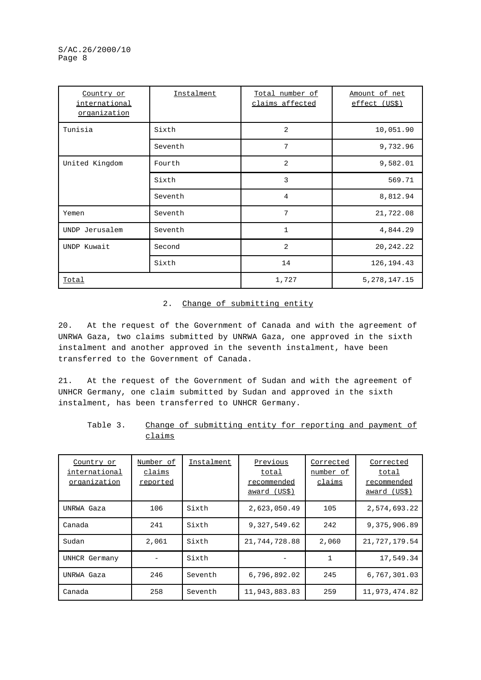| Country or<br>international<br>organization | Instalment | Total number of<br>claims affected | Amount of net<br>effect (US\$) |
|---------------------------------------------|------------|------------------------------------|--------------------------------|
| Tunisia                                     | Sixth      | $\overline{2}$                     | 10,051.90                      |
|                                             | Seventh    | 7                                  | 9,732.96                       |
| United Kingdom                              | Fourth     | $\mathfrak{D}$                     | 9,582.01                       |
|                                             | Sixth      | 3                                  | 569.71                         |
|                                             | Seventh    | $\overline{4}$                     | 8,812.94                       |
| Yemen                                       | Seventh    | 7                                  | 21,722.08                      |
| UNDP Jerusalem                              | Seventh    | $\mathbf{1}$                       | 4,844.29                       |
| UNDP Kuwait                                 | Second     | 2                                  | 20, 242. 22                    |
|                                             | Sixth      | 14                                 | 126, 194. 43                   |
| Total                                       |            | 1,727                              | 5, 278, 147. 15                |

## 2. Change of submitting entity

20. At the request of the Government of Canada and with the agreement of UNRWA Gaza, two claims submitted by UNRWA Gaza, one approved in the sixth instalment and another approved in the seventh instalment, have been transferred to the Government of Canada.

21. At the request of the Government of Sudan and with the agreement of UNHCR Germany, one claim submitted by Sudan and approved in the sixth instalment, has been transferred to UNHCR Germany.

# Table 3. Change of submitting entity for reporting and payment of claims

| Country or<br>international<br>organization | Number of<br>claims<br>reported | Instalment | Previous<br>total<br>recommended<br>award (US\$) | Corrected<br>number of<br>claims | Corrected<br>total<br>recommended<br>award (US\$) |
|---------------------------------------------|---------------------------------|------------|--------------------------------------------------|----------------------------------|---------------------------------------------------|
| UNRWA Gaza                                  | 106                             | Sixth      | 2,623,050.49                                     | 105                              | 2,574,693.22                                      |
| Canada                                      | 241                             | Sixth      | 9,327,549.62                                     | 242                              | 9,375,906.89                                      |
| Sudan                                       | 2,061                           | Sixth      | 21,744,728.88                                    | 2,060                            | 21,727,179.54                                     |
| UNHCR Germany                               |                                 | Sixth      |                                                  |                                  | 17,549.34                                         |
| UNRWA Gaza                                  | 246                             | Seventh    | 6,796,892.02                                     | 245                              | 6,767,301.03                                      |
| Canada                                      | 258                             | Seventh    | 11,943,883.83                                    | 259                              | 11,973,474.82                                     |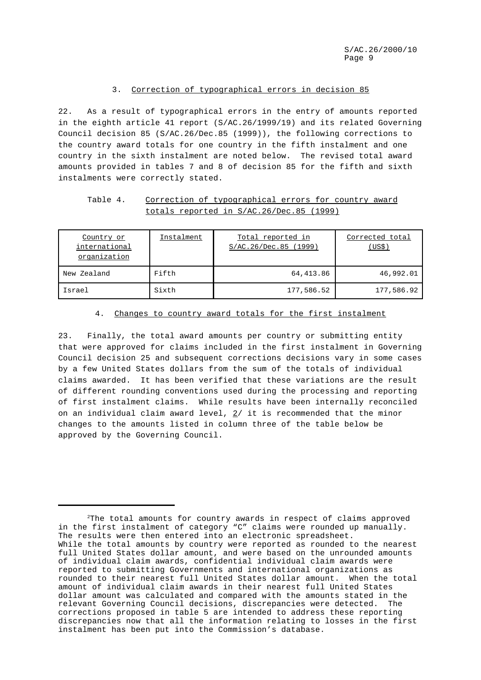## 3. Correction of typographical errors in decision 85

22. As a result of typographical errors in the entry of amounts reported in the eighth article 41 report (S/AC.26/1999/19) and its related Governing Council decision 85 (S/AC.26/Dec.85 (1999)), the following corrections to the country award totals for one country in the fifth instalment and one country in the sixth instalment are noted below. The revised total award amounts provided in tables 7 and 8 of decision 85 for the fifth and sixth instalments were correctly stated.

## Table 4. Correction of typographical errors for country award totals reported in S/AC.26/Dec.85 (1999)

| Country or<br>international<br>organization | Instalment | Total reported in<br>S/AC.26/Dec.85 (1999) | Corrected total<br>(US\$) |
|---------------------------------------------|------------|--------------------------------------------|---------------------------|
| New Zealand                                 | Fifth      | 64,413.86                                  | 46,992.01                 |
| Israel                                      | Sixth      | 177,586.52                                 | 177,586.92                |

#### 4. Changes to country award totals for the first instalment

23. Finally, the total award amounts per country or submitting entity that were approved for claims included in the first instalment in Governing Council decision 25 and subsequent corrections decisions vary in some cases by a few United States dollars from the sum of the totals of individual claims awarded. It has been verified that these variations are the result of different rounding conventions used during the processing and reporting of first instalment claims. While results have been internally reconciled on an individual claim award level,  $2/$  it is recommended that the minor changes to the amounts listed in column three of the table below be approved by the Governing Council.

 $r^2$ The total amounts for country awards in respect of claims approved in the first instalment of category "C" claims were rounded up manually. The results were then entered into an electronic spreadsheet. While the total amounts by country were reported as rounded to the nearest full United States dollar amount, and were based on the unrounded amounts of individual claim awards, confidential individual claim awards were reported to submitting Governments and international organizations as rounded to their nearest full United States dollar amount. When the total amount of individual claim awards in their nearest full United States dollar amount was calculated and compared with the amounts stated in the relevant Governing Council decisions, discrepancies were detected. The corrections proposed in table 5 are intended to address these reporting discrepancies now that all the information relating to losses in the first instalment has been put into the Commission's database.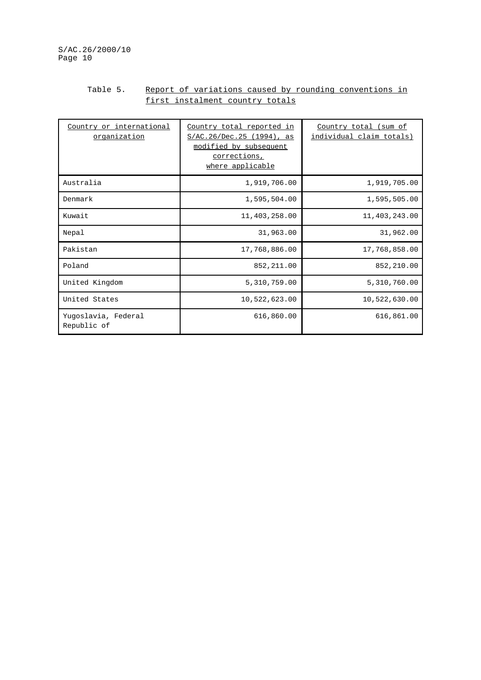# Table 5. Report of variations caused by rounding conventions in first instalment country totals

| Country or international<br>organization | <u>Country total reported in</u><br>S/AC.26/Dec.25 (1994), as<br>modified by subsequent<br>corrections,<br>where applicable | <u>Country total (sum of</u><br>individual claim totals) |
|------------------------------------------|-----------------------------------------------------------------------------------------------------------------------------|----------------------------------------------------------|
| Australia                                | 1,919,706.00                                                                                                                | 1,919,705.00                                             |
| Denmark                                  | 1,595,504.00                                                                                                                | 1,595,505.00                                             |
| Kuwait                                   | 11,403,258.00                                                                                                               | 11,403,243.00                                            |
| Nepal                                    | 31,963.00                                                                                                                   | 31,962.00                                                |
| Pakistan                                 | 17,768,886.00                                                                                                               | 17,768,858.00                                            |
| Poland                                   | 852,211.00                                                                                                                  | 852,210.00                                               |
| United Kingdom                           | 5,310,759.00                                                                                                                | 5,310,760.00                                             |
| United States                            | 10,522,623.00                                                                                                               | 10,522,630.00                                            |
| Yuqoslavia, Federal<br>Republic of       | 616,860.00                                                                                                                  | 616,861.00                                               |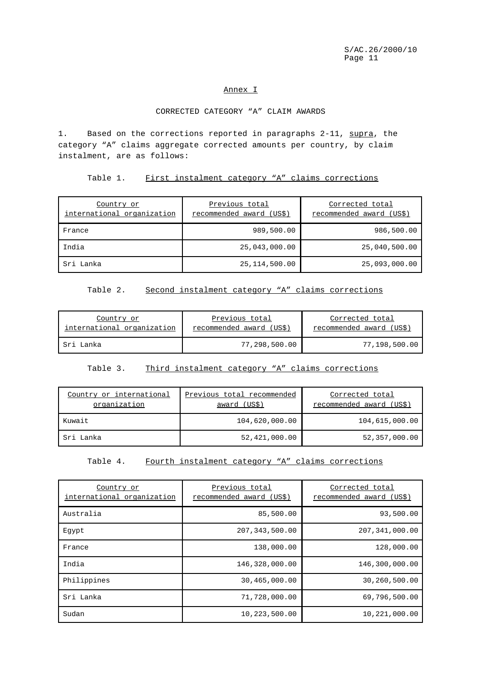#### Annex I

## CORRECTED CATEGORY "A" CLAIM AWARDS

1. Based on the corrections reported in paragraphs 2-11, supra, the category "A" claims aggregate corrected amounts per country, by claim instalment, are as follows:

Table 1. First instalment category "A" claims corrections

| Country or<br>international organization | Previous total<br>recommended award (US\$) | Corrected total<br>recommended award (US\$) |
|------------------------------------------|--------------------------------------------|---------------------------------------------|
| France                                   | 989,500.00                                 | 986,500.00                                  |
| India                                    | 25,043,000.00                              | 25,040,500.00                               |
| Sri Lanka                                | 25, 114, 500.00                            | 25,093,000.00                               |

#### Table 2. Second instalment category "A" claims corrections

| Country or                 | Previous total           | Corrected total          |  |
|----------------------------|--------------------------|--------------------------|--|
| international organization | recommended award (US\$) | recommended award (US\$) |  |
| Sri Lanka                  | 77,298,500.00            | 77,198,500.00            |  |

Table 3. Third instalment category "A" claims corrections

| Country or international<br>organization | Previous total recommended<br>award (US\$) | Corrected total<br>recommended award (US\$) |
|------------------------------------------|--------------------------------------------|---------------------------------------------|
| Kuwait                                   | 104,620,000.00                             | 104,615,000.00                              |
| Sri Lanka                                | 52,421,000.00                              | 52,357,000.00                               |

Table 4. Fourth instalment category "A" claims corrections

| Country or<br>international organization | Previous total<br>recommended award (US\$) | Corrected total<br>recommended award (US\$) |
|------------------------------------------|--------------------------------------------|---------------------------------------------|
| Australia                                | 85,500.00                                  | 93,500.00                                   |
| Eqypt                                    | 207, 343, 500.00                           | 207, 341, 000.00                            |
| France                                   | 138,000.00                                 | 128,000.00                                  |
| India                                    | 146,328,000.00                             | 146,300,000.00                              |
| Philippines                              | 30,465,000.00                              | 30,260,500.00                               |
| Sri Lanka                                | 71,728,000.00                              | 69,796,500.00                               |
| Sudan                                    | 10,223,500.00                              | 10,221,000.00                               |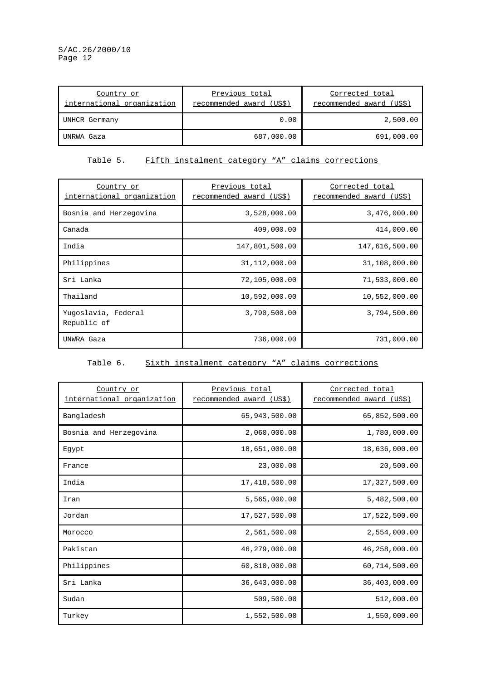| Country or<br>international organization | Previous total<br>recommended award (US\$) | Corrected total<br>recommended award (US\$) |
|------------------------------------------|--------------------------------------------|---------------------------------------------|
| UNHCR Germany                            | 0.00                                       | 2,500.00                                    |
| UNRWA Gaza                               | 687,000.00                                 | 691,000.00                                  |

## Table 5. Fifth instalment category "A" claims corrections

| Country or<br>international organization | Previous total<br>recommended award (US\$) | Corrected total<br>recommended award (US\$) |
|------------------------------------------|--------------------------------------------|---------------------------------------------|
| Bosnia and Herzegovina                   | 3,528,000.00                               | 3,476,000.00                                |
| Canada                                   | 409,000.00                                 | 414,000.00                                  |
| India                                    | 147,801,500.00                             | 147,616,500.00                              |
| Philippines                              | 31, 112, 000.00                            | 31,108,000.00                               |
| Sri Lanka                                | 72,105,000.00                              | 71,533,000.00                               |
| Thailand                                 | 10,592,000.00                              | 10,552,000.00                               |
| Yugoslavia, Federal<br>Republic of       | 3,790,500.00                               | 3,794,500.00                                |
| UNWRA Gaza                               | 736,000.00                                 | 731,000.00                                  |

## Table 6. Sixth instalment category "A" claims corrections

| Country or<br>international organization | Previous total<br>recommended award (US\$) | Corrected total<br>recommended award (US\$) |
|------------------------------------------|--------------------------------------------|---------------------------------------------|
| Bangladesh                               | 65,943,500.00                              | 65,852,500.00                               |
| Bosnia and Herzegovina                   | 2,060,000.00                               | 1,780,000.00                                |
| Egypt                                    | 18,651,000.00                              | 18,636,000.00                               |
| France                                   | 23,000.00                                  | 20,500.00                                   |
| India                                    | 17,418,500.00                              | 17,327,500.00                               |
| Iran                                     | 5,565,000.00                               | 5,482,500.00                                |
| Jordan                                   | 17,527,500.00                              | 17,522,500.00                               |
| Morocco                                  | 2,561,500.00                               | 2,554,000.00                                |
| Pakistan                                 | 46,279,000.00                              | 46,258,000.00                               |
| Philippines                              | 60,810,000.00                              | 60,714,500.00                               |
| Sri Lanka                                | 36,643,000.00                              | 36,403,000.00                               |
| Sudan                                    | 509,500.00                                 | 512,000.00                                  |
| Turkey                                   | 1,552,500.00                               | 1,550,000.00                                |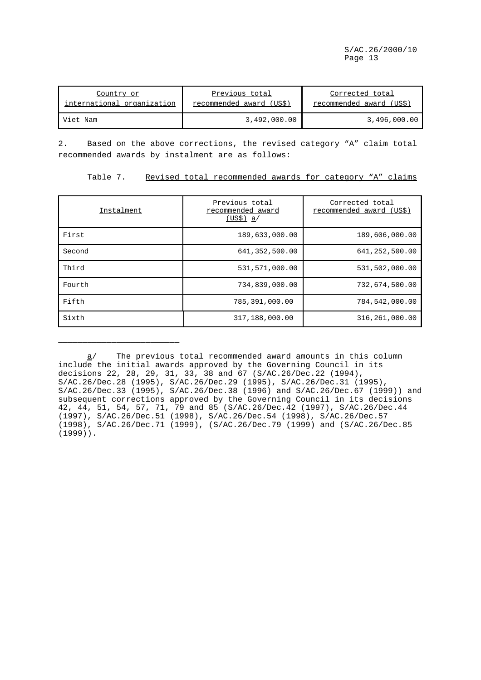| Country or                 | Previous total           | Corrected total          |
|----------------------------|--------------------------|--------------------------|
| international organization | recommended award (US\$) | recommended award (US\$) |
| Viet Nam                   | 3,492,000.00             | 3,496,000.00             |

2. Based on the above corrections, the revised category "A" claim total recommended awards by instalment are as follows:

| Revised total recommended awards for category "A" claims<br>Table 7. |
|----------------------------------------------------------------------|
|----------------------------------------------------------------------|

| Instalment | Previous total<br>recommended award<br>$(US\$ ) a/ | Corrected total<br>recommended award (US\$) |
|------------|----------------------------------------------------|---------------------------------------------|
| First      | 189,633,000.00                                     | 189,606,000.00                              |
| Second     | 641, 352, 500.00                                   | 641,252,500.00                              |
| Third      | 531,571,000.00                                     | 531,502,000.00                              |
| Fourth     | 734,839,000.00                                     | 732,674,500.00                              |
| Fifth      | 785,391,000.00                                     | 784,542,000.00                              |
| Sixth      | 317,188,000.00                                     | 316,261,000.00                              |

a/ The previous total recommended award amounts in this column include the initial awards approved by the Governing Council in its decisions 22, 28, 29, 31, 33, 38 and 67 (S/AC.26/Dec.22 (1994), S/AC.26/Dec.28 (1995), S/AC.26/Dec.29 (1995), S/AC.26/Dec.31 (1995), S/AC.26/Dec.33 (1995), S/AC.26/Dec.38 (1996) and S/AC.26/Dec.67 (1999)) and subsequent corrections approved by the Governing Council in its decisions 42, 44, 51, 54, 57, 71, 79 and 85 (S/AC.26/Dec.42 (1997), S/AC.26/Dec.44 (1997), S/AC.26/Dec.51 (1998), S/AC.26/Dec.54 (1998), S/AC.26/Dec.57 (1998), S/AC.26/Dec.71 (1999), (S/AC.26/Dec.79 (1999) and (S/AC.26/Dec.85 (1999)).

\_\_\_\_\_\_\_\_\_\_\_\_\_\_\_\_\_\_\_\_\_\_\_\_\_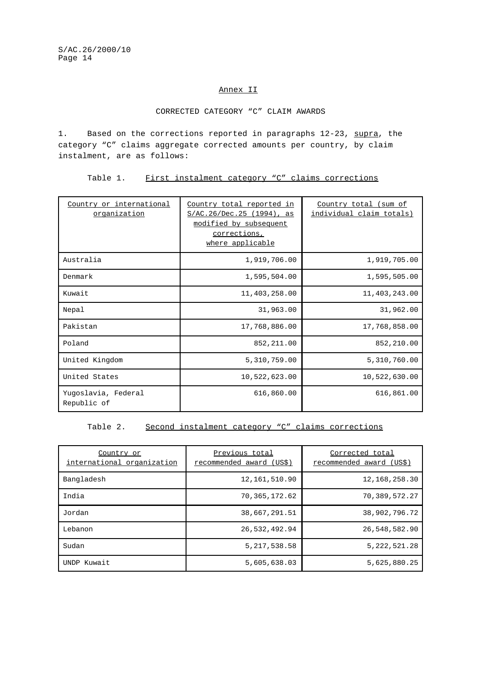#### Annex II

## CORRECTED CATEGORY "C" CLAIM AWARDS

1. Based on the corrections reported in paragraphs 12-23, supra, the category "C" claims aggregate corrected amounts per country, by claim instalment, are as follows:

Table 1. First instalment category "C" claims corrections

| <u>Country or international</u><br><u>organization</u> | <u>Country total reported in</u><br>$S/AC.26/Dec.25$ (1994), as<br>modified by subsequent<br>corrections,<br>where applicable | <u>Country total</u> (sum of<br><u>individual claim totals)</u> |
|--------------------------------------------------------|-------------------------------------------------------------------------------------------------------------------------------|-----------------------------------------------------------------|
| Australia                                              | 1,919,706.00                                                                                                                  | 1,919,705.00                                                    |
| Denmark                                                | 1,595,504.00                                                                                                                  | 1,595,505.00                                                    |
| Kuwait                                                 | 11,403,258.00                                                                                                                 | 11,403,243.00                                                   |
| Nepal                                                  | 31,963.00                                                                                                                     | 31,962.00                                                       |
| Pakistan                                               | 17,768,886.00                                                                                                                 | 17,768,858.00                                                   |
| Poland                                                 | 852,211.00                                                                                                                    | 852,210.00                                                      |
| United Kingdom                                         | 5,310,759.00                                                                                                                  | 5,310,760.00                                                    |
| United States                                          | 10,522,623.00                                                                                                                 | 10,522,630.00                                                   |
| Yuqoslavia, Federal<br>Republic of                     | 616,860.00                                                                                                                    | 616,861.00                                                      |

## Table 2. Second instalment category "C" claims corrections

| Country or<br>international organization | Previous total<br>recommended award (US\$) | Corrected total<br>recommended award (US\$) |
|------------------------------------------|--------------------------------------------|---------------------------------------------|
| Bangladesh                               | 12, 161, 510.90                            | 12, 168, 258. 30                            |
| India                                    | 70, 365, 172.62                            | 70,389,572.27                               |
| Jordan                                   | 38,667,291.51                              | 38,902,796.72                               |
| Lebanon                                  | 26,532,492.94                              | 26,548,582.90                               |
| Sudan                                    | 5, 217, 538.58                             | 5, 222, 521. 28                             |
| UNDP Kuwait                              | 5,605,638.03                               | 5,625,880.25                                |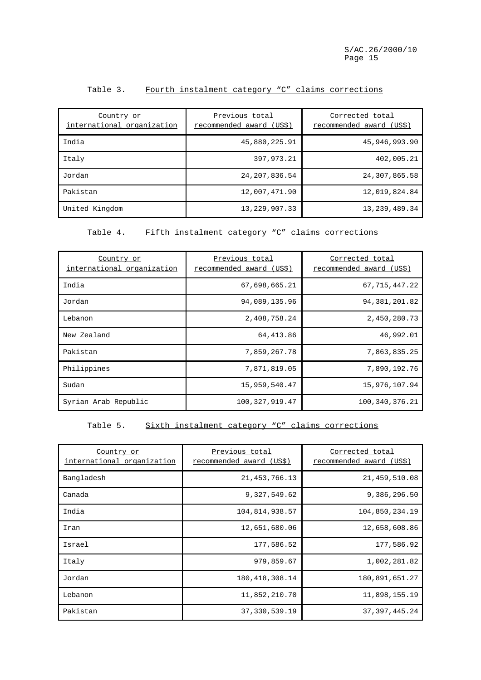|--|

| Country or<br>international organization | Previous total<br>recommended award (US\$) | Corrected total<br>recommended award (US\$) |
|------------------------------------------|--------------------------------------------|---------------------------------------------|
| India                                    | 45,880,225.91                              | 45,946,993.90                               |
| Italy                                    | 397,973.21                                 | 402,005.21                                  |
| Jordan                                   | 24, 207, 836.54                            | 24,307,865.58                               |
| Pakistan                                 | 12,007,471.90                              | 12,019,824.84                               |
| United Kingdom                           | 13, 229, 907. 33                           | 13, 239, 489. 34                            |

Table 4. Fifth instalment category "C" claims corrections

| Country or<br><u>international organization</u> | Previous total<br>recommended award (US\$) | Corrected total<br><u>recommended award (US\$)</u> |
|-------------------------------------------------|--------------------------------------------|----------------------------------------------------|
| India                                           | 67,698,665.21                              | 67, 715, 447. 22                                   |
| Jordan                                          | 94,089,135.96                              | 94, 381, 201.82                                    |
| Lebanon                                         | 2,408,758.24                               | 2,450,280.73                                       |
| New Zealand                                     | 64,413.86                                  | 46,992.01                                          |
| Pakistan                                        | 7,859,267.78                               | 7,863,835.25                                       |
| Philippines                                     | 7,871,819.05                               | 7,890,192.76                                       |
| Sudan                                           | 15,959,540.47                              | 15,976,107.94                                      |
| Syrian Arab Republic                            | 100, 327, 919.47                           | 100, 340, 376. 21                                  |

Table 5. Sixth instalment category "C" claims corrections

| Country or<br>international organization | Previous total<br><u>recommended award (US\$)</u> | Corrected total<br>recommended award (US\$) |
|------------------------------------------|---------------------------------------------------|---------------------------------------------|
| Bangladesh                               | 21, 453, 766. 13                                  | 21, 459, 510.08                             |
| Canada                                   | 9,327,549.62                                      | 9,386,296.50                                |
| India                                    | 104,814,938.57                                    | 104,850,234.19                              |
| Iran                                     | 12,651,680.06                                     | 12,658,608.86                               |
| Israel                                   | 177,586.52                                        | 177,586.92                                  |
| Italy                                    | 979,859.67                                        | 1,002,281.82                                |
| Jordan                                   | 180, 418, 308. 14                                 | 180,891,651.27                              |
| Lebanon                                  | 11,852,210.70                                     | 11,898,155.19                               |
| Pakistan                                 | 37, 330, 539.19                                   | 37, 397, 445. 24                            |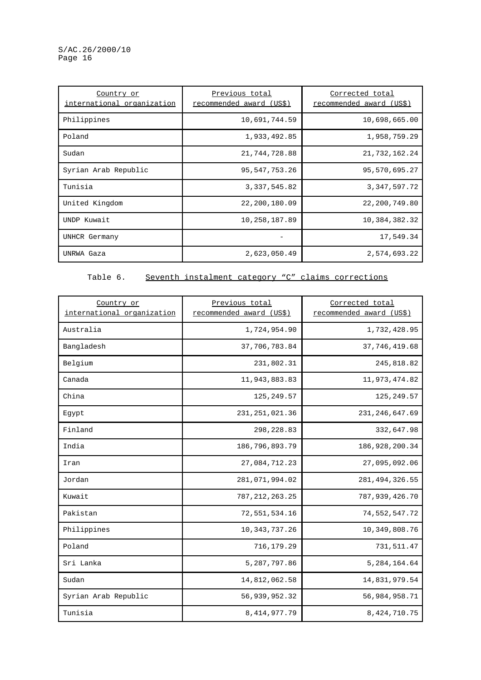| Country or<br>international organization | Previous total<br>recommended award (US\$) | Corrected total<br>recommended award (US\$) |
|------------------------------------------|--------------------------------------------|---------------------------------------------|
| Philippines                              | 10,691,744.59                              | 10,698,665.00                               |
| Poland                                   | 1,933,492.85                               | 1,958,759.29                                |
| Sudan                                    | 21,744,728.88                              | 21,732,162.24                               |
| Syrian Arab Republic                     | 95, 547, 753. 26                           | 95,570,695.27                               |
| Tunisia                                  | 3, 337, 545.82                             | 3, 347, 597. 72                             |
| United Kingdom                           | 22,200,180.09                              | 22, 200, 749.80                             |
| UNDP Kuwait                              | 10,258,187.89                              | 10,384,382.32                               |
| UNHCR Germany                            |                                            | 17,549.34                                   |
| UNRWA Gaza                               | 2,623,050.49                               | 2,574,693.22                                |

# Table 6. Seventh instalment category "C" claims corrections

| Country or<br>international organization | Previous total<br>recommended award (US\$) | Corrected total<br>recommended award (US\$) |
|------------------------------------------|--------------------------------------------|---------------------------------------------|
| Australia                                | 1,724,954.90                               | 1,732,428.95                                |
| Bangladesh                               | 37,706,783.84                              | 37, 746, 419.68                             |
| Belgium                                  | 231,802.31                                 | 245,818.82                                  |
| Canada                                   | 11,943,883.83                              | 11,973,474.82                               |
| China                                    | 125, 249.57                                | 125, 249.57                                 |
| Egypt                                    | 231, 251, 021.36                           | 231, 246, 647.69                            |
| Finland                                  | 298,228.83                                 | 332,647.98                                  |
| India                                    | 186,796,893.79                             | 186,928,200.34                              |
| Iran                                     | 27,084,712.23                              | 27,095,092.06                               |
| Jordan                                   | 281,071,994.02                             | 281, 494, 326.55                            |
| Kuwait                                   | 787, 212, 263. 25                          | 787,939,426.70                              |
| Pakistan                                 | 72,551,534.16                              | 74,552,547.72                               |
| Philippines                              | 10, 343, 737.26                            | 10,349,808.76                               |
| Poland                                   | 716,179.29                                 | 731,511.47                                  |
| Sri Lanka                                | 5,287,797.86                               | 5,284,164.64                                |
| Sudan                                    | 14,812,062.58                              | 14,831,979.54                               |
| Syrian Arab Republic                     | 56,939,952.32                              | 56,984,958.71                               |
| Tunisia                                  | 8, 414, 977. 79                            | 8, 424, 710. 75                             |